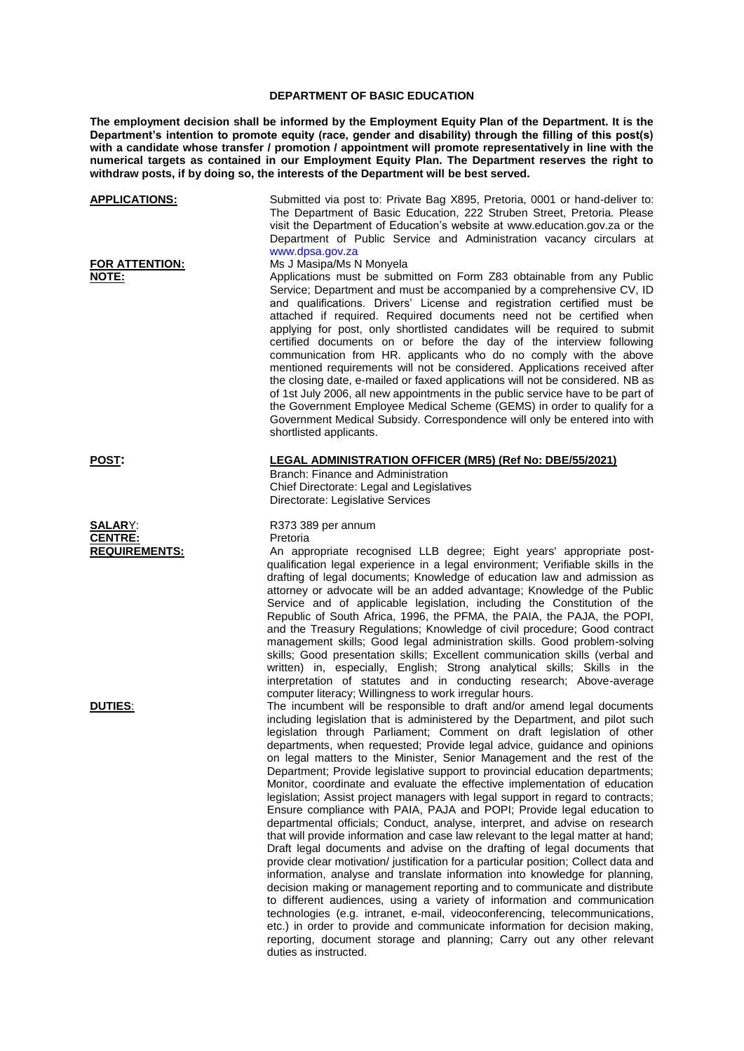## **DEPARTMENT OF BASIC EDUCATION**

**The employment decision shall be informed by the Employment Equity Plan of the Department. It is the Department's intention to promote equity (race, gender and disability) through the filling of this post(s)**  with a candidate whose transfer / promotion / appointment will promote representatively in line with the **numerical targets as contained in our Employment Equity Plan. The Department reserves the right to withdraw posts, if by doing so, the interests of the Department will be best served.**

| <b>APPLICATIONS:</b>           | Submitted via post to: Private Bag X895, Pretoria, 0001 or hand-deliver to:<br>The Department of Basic Education, 222 Struben Street, Pretoria. Please<br>visit the Department of Education's website at www.education.gov.za or the<br>Department of Public Service and Administration vacancy circulars at<br>www.dpsa.gov.za                                                                                                                                                                                                                                                                                                                                                                                                                                                                                                                                                                                                                                                                                                                                                                                                                                                                                                                                                                                                                                                                                                                                                                                                                                  |
|--------------------------------|------------------------------------------------------------------------------------------------------------------------------------------------------------------------------------------------------------------------------------------------------------------------------------------------------------------------------------------------------------------------------------------------------------------------------------------------------------------------------------------------------------------------------------------------------------------------------------------------------------------------------------------------------------------------------------------------------------------------------------------------------------------------------------------------------------------------------------------------------------------------------------------------------------------------------------------------------------------------------------------------------------------------------------------------------------------------------------------------------------------------------------------------------------------------------------------------------------------------------------------------------------------------------------------------------------------------------------------------------------------------------------------------------------------------------------------------------------------------------------------------------------------------------------------------------------------|
| <b>FOR ATTENTION:</b><br>NOTE: | Ms J Masipa/Ms N Monyela<br>Applications must be submitted on Form Z83 obtainable from any Public<br>Service; Department and must be accompanied by a comprehensive CV, ID<br>and qualifications. Drivers' License and registration certified must be<br>attached if required. Required documents need not be certified when<br>applying for post, only shortlisted candidates will be required to submit<br>certified documents on or before the day of the interview following<br>communication from HR. applicants who do no comply with the above<br>mentioned requirements will not be considered. Applications received after<br>the closing date, e-mailed or faxed applications will not be considered. NB as<br>of 1st July 2006, all new appointments in the public service have to be part of<br>the Government Employee Medical Scheme (GEMS) in order to qualify for a<br>Government Medical Subsidy. Correspondence will only be entered into with<br>shortlisted applicants.                                                                                                                                                                                                                                                                                                                                                                                                                                                                                                                                                                      |
| <b>POST:</b>                   | LEGAL ADMINISTRATION OFFICER (MR5) (Ref No: DBE/55/2021)<br>Branch: Finance and Administration<br>Chief Directorate: Legal and Legislatives<br>Directorate: Legislative Services                                                                                                                                                                                                                                                                                                                                                                                                                                                                                                                                                                                                                                                                                                                                                                                                                                                                                                                                                                                                                                                                                                                                                                                                                                                                                                                                                                                 |
| <b>SALARY:</b>                 | R373 389 per annum                                                                                                                                                                                                                                                                                                                                                                                                                                                                                                                                                                                                                                                                                                                                                                                                                                                                                                                                                                                                                                                                                                                                                                                                                                                                                                                                                                                                                                                                                                                                               |
| <b>CENTRE:</b>                 | Pretoria                                                                                                                                                                                                                                                                                                                                                                                                                                                                                                                                                                                                                                                                                                                                                                                                                                                                                                                                                                                                                                                                                                                                                                                                                                                                                                                                                                                                                                                                                                                                                         |
| <b>REQUIREMENTS:</b>           | An appropriate recognised LLB degree; Eight years' appropriate post-<br>qualification legal experience in a legal environment; Verifiable skills in the<br>drafting of legal documents; Knowledge of education law and admission as<br>attorney or advocate will be an added advantage; Knowledge of the Public<br>Service and of applicable legislation, including the Constitution of the<br>Republic of South Africa, 1996, the PFMA, the PAIA, the PAJA, the POPI,<br>and the Treasury Regulations; Knowledge of civil procedure; Good contract<br>management skills; Good legal administration skills. Good problem-solving<br>skills; Good presentation skills; Excellent communication skills (verbal and<br>written) in, especially, English; Strong analytical skills; Skills in the<br>interpretation of statutes and in conducting research; Above-average<br>computer literacy; Willingness to work irregular hours.                                                                                                                                                                                                                                                                                                                                                                                                                                                                                                                                                                                                                                 |
| DUTIES:                        | The incumbent will be responsible to draft and/or amend legal documents<br>including legislation that is administered by the Department, and pilot such<br>legislation through Parliament; Comment on draft legislation of other<br>departments, when requested; Provide legal advice, guidance and opinions<br>on legal matters to the Minister, Senior Management and the rest of the<br>Department; Provide legislative support to provincial education departments;<br>Monitor, coordinate and evaluate the effective implementation of education<br>legislation; Assist project managers with legal support in regard to contracts;<br>Ensure compliance with PAIA, PAJA and POPI; Provide legal education to<br>departmental officials; Conduct, analyse, interpret, and advise on research<br>that will provide information and case law relevant to the legal matter at hand;<br>Draft legal documents and advise on the drafting of legal documents that<br>provide clear motivation/ justification for a particular position; Collect data and<br>information, analyse and translate information into knowledge for planning,<br>decision making or management reporting and to communicate and distribute<br>to different audiences, using a variety of information and communication<br>technologies (e.g. intranet, e-mail, videoconferencing, telecommunications,<br>etc.) in order to provide and communicate information for decision making,<br>reporting, document storage and planning; Carry out any other relevant<br>duties as instructed. |